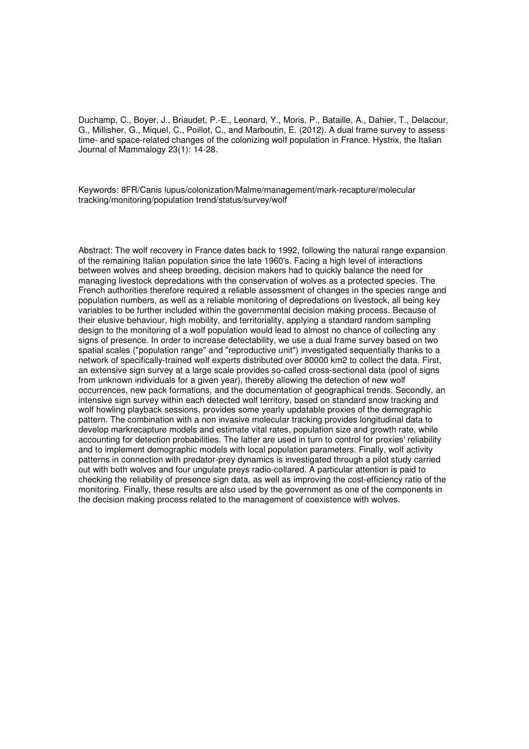Duchamp, C., Boyer, J., Briaudet, P.-E., Leonard, Y., Moris, P., Bataille, A., Dahier, T., Delacour, G., Millisher, G., Miquel, C., Poillot, C., and Marboutin, E. (2012). A dual frame survey to assess time- and space-related changes of the colonizing wolf population in France. Hystrix, the Italian Journal of Mammalogy 23(1): 14-28.

Keywords: 8FR/Canis lupus/colonization/Malme/management/mark-recapture/molecular tracking/monitoring/population trend/status/survey/wolf

Abstract: The wolf recovery in France dates back to 1992, following the natural range expansion of the remaining Italian population since the late 1960's. Facing a high level of interactions between wolves and sheep breeding, decision makers had to quickly balance the need for managing livestock depredations with the conservation of wolves as a protected species. The French authorities therefore required a reliable assessment of changes in the species range and population numbers, as well as a reliable monitoring of depredations on livestock, all being key variables to be further included within the governmental decision making process. Because of their elusive behaviour, high mobility, and territoriality, applying a standard random sampling design to the monitoring of a wolf population would lead to almost no chance of collecting any signs of presence. In order to increase detectability, we use a dual frame survey based on two spatial scales ("population range" and "reproductive unit") investigated sequentially thanks to a network of specifically-trained wolf experts distributed over 80000 km2 to collect the data. First, an extensive sign survey at a large scale provides so-called cross-sectional data (pool of signs from unknown individuals for a given year), thereby allowing the detection of new wolf occurrences, new pack formations, and the documentation of geographical trends. Secondly, an intensive sign survey within each detected wolf territory, based on standard snow tracking and wolf howling playback sessions, provides some yearly updatable proxies of the demographic pattern. The combination with a non invasive molecular tracking provides longitudinal data to develop markrecapture models and estimate vital rates, population size and growth rate, while accounting for detection probabilities. The latter are used in turn to control for proxies' reliability and to implement demographic models with local population parameters. Finally, wolf activity patterns in connection with predator-prey dynamics is investigated through a pilot study carried out with both wolves and four ungulate preys radio-collared. A particular attention is paid to checking the reliability of presence sign data, as well as improving the cost-efficiency ratio of the monitoring. Finally, these results are also used by the government as one of the components in the decision making process related to the management of coexistence with wolves.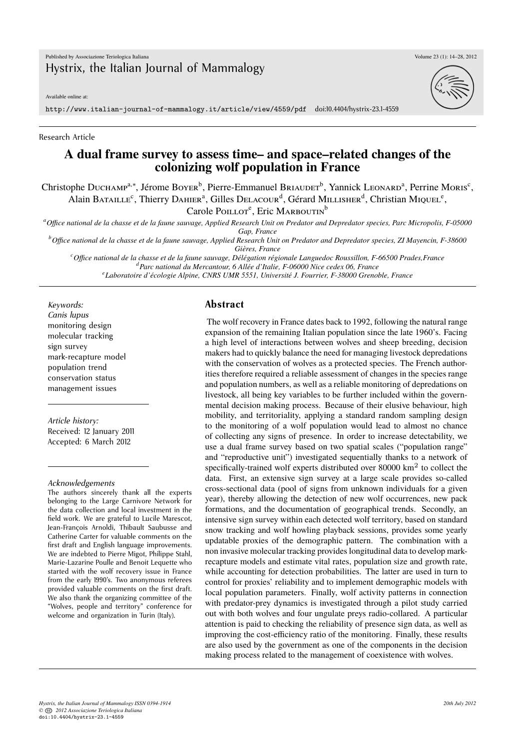Available online at:

http://www.italian-journal-of-mammalogy.it/article/view/4559/pdf doi:10.4404/hystrix-23.1-4559

Research Article

### **A dual frame survey to assess time– and space–related changes of the colonizing wolf population in France**

Christophe Ducнамр<sup>а,∗</sup>, Jérome Boyer<sup>b</sup>, Pierre-Emmanuel Briauder<sup>b</sup>, Yannick Leonard<sup>a</sup>, Perrine Moris<sup>c</sup>, Alain Bataille<sup>c</sup>, Thierry Dahier<sup>a</sup>, Gilles Delacour<sup>d</sup>, Gérard Millisher<sup>d</sup>, Christian Miquel<sup>e</sup>,

Carole Poillot<sup>e</sup>, Eric Marboutin<sup>b</sup>

*<sup>a</sup>Office national de la chasse et de la faune sauvage, Applied Research Unit on Predator and Depredator species, Parc Micropolis, F-05000 Gap, France*

*<sup>b</sup>Office national de la chasse et de la faune sauvage, Applied Research Unit on Predator and Depredator species, ZI Mayencin, F-38600 Gières, France*

*<sup>c</sup>Office national de la chasse et de la faune sauvage, Délégation régionale Languedoc Roussillon, F-66500 Prades,France <sup>d</sup>Parc national du Mercantour, 6 Allée d'Italie, F-06000 Nice cedex 06, France e Laboratoire d'écologie Alpine, CNRS UMR 5551, Université J. Fourrier, F-38000 Grenoble, France*

*Keywords: Canis lupus* monitoring design molecular tracking sign survey mark-recapture model population trend conservation status management issues

*Article history:* Received: 12 January 2011 Accepted: 6 March 2012

#### *Acknowledgements*

The authors sincerely thank all the experts belonging to the Large Carnivore Network for the data collection and local investment in the field work. We are grateful to Lucile Marescot, Jean-François Arnoldi, Thibault Saubusse and Catherine Carter for valuable comments on the first draft and English language improvements. We are indebted to Pierre Migot, Philippe Stahl, Marie-Lazarine Poulle and Benoit Lequette who started with the wolf recovery issue in France from the early 1990's. Two anonymous referees provided valuable comments on the first draft. We also thank the organizing committee of the "Wolves, people and territory" conference for welcome and organization in Turin (Italy).

#### **Abstract**

The wolf recovery in France dates back to 1992, following the natural range expansion of the remaining Italian population since the late 1960's. Facing a high level of interactions between wolves and sheep breeding, decision makers had to quickly balance the need for managing livestock depredations with the conservation of wolves as a protected species. The French authorities therefore required a reliable assessment of changes in the species range and population numbers, as well as a reliable monitoring of depredations on livestock, all being key variables to be further included within the governmental decision making process. Because of their elusive behaviour, high mobility, and territoriality, applying a standard random sampling design to the monitoring of a wolf population would lead to almost no chance of collecting any signs of presence. In order to increase detectability, we use a dual frame survey based on two spatial scales ("population range" and "reproductive unit") investigated sequentially thanks to a network of specifically-trained wolf experts distributed over 80000 km<sup>2</sup> to collect the data. First, an extensive sign survey at a large scale provides so-called cross-sectional data (pool of signs from unknown individuals for a given year), thereby allowing the detection of new wolf occurrences, new pack formations, and the documentation of geographical trends. Secondly, an intensive sign survey within each detected wolf territory, based on standard snow tracking and wolf howling playback sessions, provides some yearly updatable proxies of the demographic pattern. The combination with a non invasive molecular tracking provides longitudinal data to develop markrecapture models and estimate vital rates, population size and growth rate, while accounting for detection probabilities. The latter are used in turn to control for proxies' reliability and to implement demographic models with local population parameters. Finally, wolf activity patterns in connection with predator-prey dynamics is investigated through a pilot study carried out with both wolves and four ungulate preys radio-collared. A particular attention is paid to checking the reliability of presence sign data, as well as improving the cost-efficiency ratio of the monitoring. Finally, these results are also used by the government as one of the components in the decision making process related to the management of coexistence with wolves.



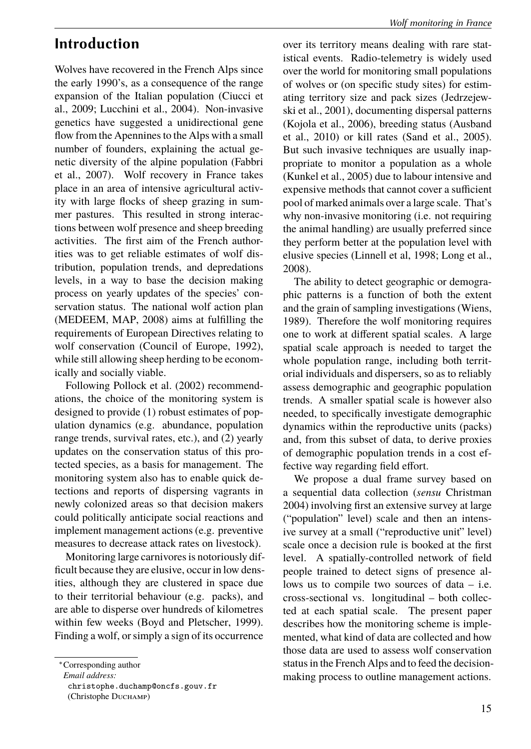## **Introduction**

Wolves have recovered in the French Alps since the early 1990's, as a consequence of the range expansion of the Italian population (Ciucci et al., 2009; Lucchini et al., 2004). Non-invasive genetics have suggested a unidirectional gene flow from the Apennines to the Alps with a small number of founders, explaining the actual genetic diversity of the alpine population (Fabbri et al., 2007). Wolf recovery in France takes place in an area of intensive agricultural activity with large flocks of sheep grazing in summer pastures. This resulted in strong interactions between wolf presence and sheep breeding activities. The first aim of the French authorities was to get reliable estimates of wolf distribution, population trends, and depredations levels, in a way to base the decision making process on yearly updates of the species' conservation status. The national wolf action plan (MEDEEM, MAP, 2008) aims at fulfilling the requirements of European Directives relating to wolf conservation (Council of Europe, 1992), while still allowing sheep herding to be economically and socially viable.

Following Pollock et al. (2002) recommendations, the choice of the monitoring system is designed to provide (1) robust estimates of population dynamics (e.g. abundance, population range trends, survival rates, etc.), and (2) yearly updates on the conservation status of this protected species, as a basis for management. The monitoring system also has to enable quick detections and reports of dispersing vagrants in newly colonized areas so that decision makers could politically anticipate social reactions and implement management actions (e.g. preventive measures to decrease attack rates on livestock).

Monitoring large carnivores is notoriously difficult because they are elusive, occur in low densities, although they are clustered in space due to their territorial behaviour (e.g. packs), and are able to disperse over hundreds of kilometres within few weeks (Boyd and Pletscher, 1999). Finding a wolf, or simply a sign of its occurrence

over its territory means dealing with rare statistical events. Radio-telemetry is widely used over the world for monitoring small populations of wolves or (on specific study sites) for estimating territory size and pack sizes (Jedrzejewski et al., 2001), documenting dispersal patterns (Kojola et al., 2006), breeding status (Ausband et al., 2010) or kill rates (Sand et al., 2005). But such invasive techniques are usually inappropriate to monitor a population as a whole (Kunkel et al., 2005) due to labour intensive and expensive methods that cannot cover a sufficient pool of marked animals over a large scale. That's why non-invasive monitoring (i.e. not requiring the animal handling) are usually preferred since they perform better at the population level with elusive species (Linnell et al, 1998; Long et al., 2008).

The ability to detect geographic or demographic patterns is a function of both the extent and the grain of sampling investigations (Wiens, 1989). Therefore the wolf monitoring requires one to work at different spatial scales. A large spatial scale approach is needed to target the whole population range, including both territorial individuals and dispersers, so as to reliably assess demographic and geographic population trends. A smaller spatial scale is however also needed, to specifically investigate demographic dynamics within the reproductive units (packs) and, from this subset of data, to derive proxies of demographic population trends in a cost effective way regarding field effort.

We propose a dual frame survey based on a sequential data collection (*sensu* Christman 2004) involving first an extensive survey at large ("population" level) scale and then an intensive survey at a small ("reproductive unit" level) scale once a decision rule is booked at the first level. A spatially-controlled network of field people trained to detect signs of presence allows us to compile two sources of data – i.e. cross-sectional vs. longitudinal – both collected at each spatial scale. The present paper describes how the monitoring scheme is implemented, what kind of data are collected and how those data are used to assess wolf conservation status in the French Alps and to feed the decisionmaking process to outline management actions.

<sup>∗</sup>Corresponding author

*Email address:*

christophe.duchamp@oncfs.gouv.fr (Christophe Duchamp)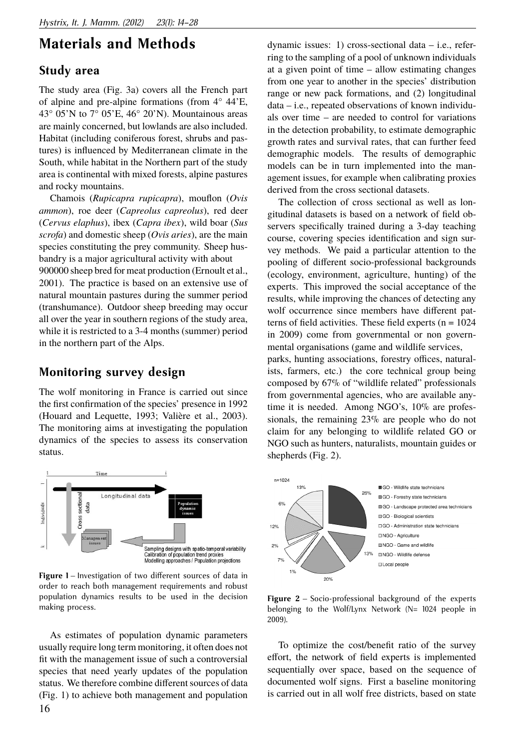## **Materials and Methods**

### **Study area**

The study area (Fig. 3a) covers all the French part of alpine and pre-alpine formations (from 4° 44'E, 43 $\degree$  05'N to 7 $\degree$  05'E, 46 $\degree$  20'N). Mountainous areas are mainly concerned, but lowlands are also included. Habitat (including coniferous forest, shrubs and pastures) is influenced by Mediterranean climate in the South, while habitat in the Northern part of the study area is continental with mixed forests, alpine pastures and rocky mountains.

Chamois (*Rupicapra rupicapra*), mouflon (*Ovis ammon*), roe deer (*Capreolus capreolus*), red deer (*Cervus elaphus*), ibex (*Capra ibex*), wild boar (*Sus scrofa*) and domestic sheep (*Ovis aries*), are the main species constituting the prey community. Sheep husbandry is a major agricultural activity with about 900000 sheep bred for meat production (Ernoult et al., 2001). The practice is based on an extensive use of natural mountain pastures during the summer period (transhumance). Outdoor sheep breeding may occur all over the year in southern regions of the study area, while it is restricted to a 3-4 months (summer) period in the northern part of the Alps.

### **Monitoring survey design**

The wolf monitoring in France is carried out since the first confirmation of the species' presence in 1992 (Houard and Lequette, 1993; Valière et al., 2003). The monitoring aims at investigating the population dynamics of the species to assess its conservation status.



**Figure 1** – Investigation of two different sources of data in order to reach both management requirements and robust population dynamics results to be used in the decision making process.

As estimates of population dynamic parameters usually require long term monitoring, it often does not fit with the management issue of such a controversial species that need yearly updates of the population status. We therefore combine different sources of data (Fig. 1) to achieve both management and population 16

dynamic issues: 1) cross-sectional data – i.e., referring to the sampling of a pool of unknown individuals at a given point of time – allow estimating changes from one year to another in the species' distribution range or new pack formations, and (2) longitudinal data – i.e., repeated observations of known individuals over time – are needed to control for variations in the detection probability, to estimate demographic growth rates and survival rates, that can further feed demographic models. The results of demographic models can be in turn implemented into the management issues, for example when calibrating proxies derived from the cross sectional datasets.

The collection of cross sectional as well as longitudinal datasets is based on a network of field observers specifically trained during a 3-day teaching course, covering species identification and sign survey methods. We paid a particular attention to the pooling of different socio-professional backgrounds (ecology, environment, agriculture, hunting) of the experts. This improved the social acceptance of the results, while improving the chances of detecting any wolf occurrence since members have different patterns of field activities. These field experts  $(n = 1024)$ in 2009) come from governmental or non governmental organisations (game and wildlife services,

parks, hunting associations, forestry offices, naturalists, farmers, etc.) the core technical group being composed by 67% of "wildlife related" professionals from governmental agencies, who are available anytime it is needed. Among NGO's, 10% are professionals, the remaining 23% are people who do not claim for any belonging to wildlife related GO or NGO such as hunters, naturalists, mountain guides or shepherds (Fig. 2).



**Figure 2** – Socio-professional background of the experts belonging to the Wolf/Lynx Network (N= 1024 people in 2009).

To optimize the cost/benefit ratio of the survey effort, the network of field experts is implemented sequentially over space, based on the sequence of documented wolf signs. First a baseline monitoring is carried out in all wolf free districts, based on state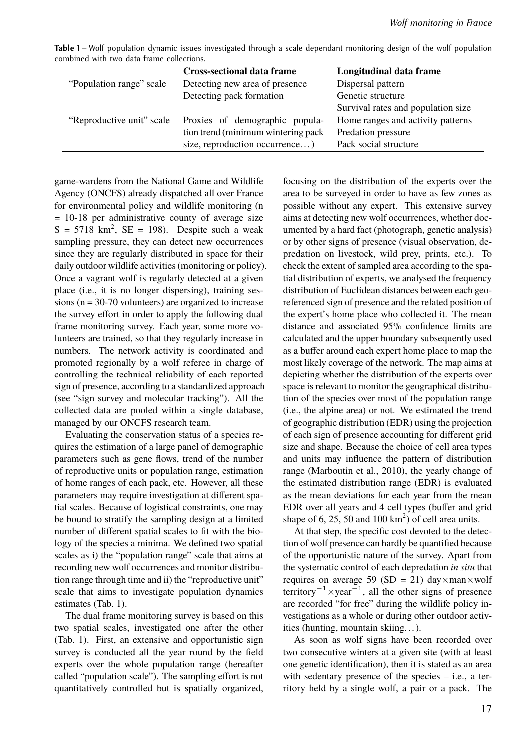| ononca mui uro aala name concenono.                      |                                    |  |  |  |  |
|----------------------------------------------------------|------------------------------------|--|--|--|--|
| <b>Cross-sectional data frame</b>                        | Longitudinal data frame            |  |  |  |  |
| Detecting new area of presence                           | Dispersal pattern                  |  |  |  |  |
| Detecting pack formation                                 | Genetic structure                  |  |  |  |  |
|                                                          | Survival rates and population size |  |  |  |  |
| "Reproductive unit" scale Proxies of demographic popula- | Home ranges and activity patterns  |  |  |  |  |
| tion trend (minimum wintering pack)                      | Predation pressure                 |  |  |  |  |
| size, reproduction occurrence)                           | Pack social structure              |  |  |  |  |
|                                                          |                                    |  |  |  |  |

**Table 1** – Wolf population dynamic issues investigated through a scale dependant monitoring design of the wolf population combined with two data frame collections.

game-wardens from the National Game and Wildlife Agency (ONCFS) already dispatched all over France for environmental policy and wildlife monitoring (n = 10-18 per administrative county of average size  $S = 5718$  km<sup>2</sup>,  $SE = 198$ ). Despite such a weak sampling pressure, they can detect new occurrences since they are regularly distributed in space for their daily outdoor wildlife activities (monitoring or policy). Once a vagrant wolf is regularly detected at a given place (i.e., it is no longer dispersing), training sessions ( $n = 30-70$  volunteers) are organized to increase the survey effort in order to apply the following dual frame monitoring survey. Each year, some more volunteers are trained, so that they regularly increase in numbers. The network activity is coordinated and promoted regionally by a wolf referee in charge of controlling the technical reliability of each reported sign of presence, according to a standardized approach (see "sign survey and molecular tracking"). All the collected data are pooled within a single database, managed by our ONCFS research team.

Evaluating the conservation status of a species requires the estimation of a large panel of demographic parameters such as gene flows, trend of the number of reproductive units or population range, estimation of home ranges of each pack, etc. However, all these parameters may require investigation at different spatial scales. Because of logistical constraints, one may be bound to stratify the sampling design at a limited number of different spatial scales to fit with the biology of the species a minima. We defined two spatial scales as i) the "population range" scale that aims at recording new wolf occurrences and monitor distribution range through time and ii) the "reproductive unit" scale that aims to investigate population dynamics estimates (Tab. 1).

The dual frame monitoring survey is based on this two spatial scales, investigated one after the other (Tab. 1). First, an extensive and opportunistic sign survey is conducted all the year round by the field experts over the whole population range (hereafter called "population scale"). The sampling effort is not quantitatively controlled but is spatially organized,

focusing on the distribution of the experts over the area to be surveyed in order to have as few zones as possible without any expert. This extensive survey aims at detecting new wolf occurrences, whether documented by a hard fact (photograph, genetic analysis) or by other signs of presence (visual observation, depredation on livestock, wild prey, prints, etc.). To check the extent of sampled area according to the spatial distribution of experts, we analysed the frequency distribution of Euclidean distances between each georeferenced sign of presence and the related position of the expert's home place who collected it. The mean distance and associated 95% confidence limits are calculated and the upper boundary subsequently used as a buffer around each expert home place to map the most likely coverage of the network. The map aims at depicting whether the distribution of the experts over space is relevant to monitor the geographical distribution of the species over most of the population range (i.e., the alpine area) or not. We estimated the trend of geographic distribution (EDR) using the projection of each sign of presence accounting for different grid size and shape. Because the choice of cell area types and units may influence the pattern of distribution range (Marboutin et al., 2010), the yearly change of the estimated distribution range (EDR) is evaluated as the mean deviations for each year from the mean EDR over all years and 4 cell types (buffer and grid shape of 6, 25, 50 and  $100 \text{ km}^2$ ) of cell area units.

At that step, the specific cost devoted to the detection of wolf presence can hardly be quantified because of the opportunistic nature of the survey. Apart from the systematic control of each depredation *in situ* that requires on average 59 (SD = 21) day $\times$ man $\times$ wolf territory<sup>-1</sup>×year<sup>-1</sup>, all the other signs of presence are recorded "for free" during the wildlife policy investigations as a whole or during other outdoor activities (hunting, mountain skiing. . . ).

As soon as wolf signs have been recorded over two consecutive winters at a given site (with at least one genetic identification), then it is stated as an area with sedentary presence of the species – i.e., a territory held by a single wolf, a pair or a pack. The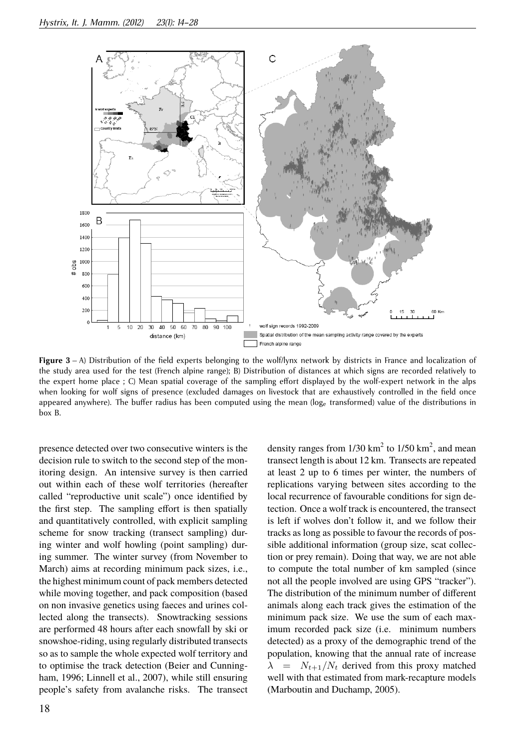

**Figure 3** – A) Distribution of the field experts belonging to the wolf/lynx network by districts in France and localization of the study area used for the test (French alpine range); B) Distribution of distances at which signs are recorded relatively to the expert home place ; C) Mean spatial coverage of the sampling effort displayed by the wolf-expert network in the alps when looking for wolf signs of presence (excluded damages on livestock that are exhaustively controlled in the field once appeared anywhere). The buffer radius has been computed using the mean (loge transformed) value of the distributions in box B.

presence detected over two consecutive winters is the decision rule to switch to the second step of the monitoring design. An intensive survey is then carried out within each of these wolf territories (hereafter called "reproductive unit scale") once identified by the first step. The sampling effort is then spatially and quantitatively controlled, with explicit sampling scheme for snow tracking (transect sampling) during winter and wolf howling (point sampling) during summer. The winter survey (from November to March) aims at recording minimum pack sizes, i.e., the highest minimum count of pack members detected while moving together, and pack composition (based on non invasive genetics using faeces and urines collected along the transects). Snowtracking sessions are performed 48 hours after each snowfall by ski or snowshoe-riding, using regularly distributed transects so as to sample the whole expected wolf territory and to optimise the track detection (Beier and Cunningham, 1996; Linnell et al., 2007), while still ensuring people's safety from avalanche risks. The transect

density ranges from  $1/30 \text{ km}^2$  to  $1/50 \text{ km}^2$ , and mean transect length is about 12 km. Transects are repeated at least 2 up to 6 times per winter, the numbers of replications varying between sites according to the local recurrence of favourable conditions for sign detection. Once a wolf track is encountered, the transect is left if wolves don't follow it, and we follow their tracks as long as possible to favour the records of possible additional information (group size, scat collection or prey remain). Doing that way, we are not able to compute the total number of km sampled (since not all the people involved are using GPS "tracker"). The distribution of the minimum number of different animals along each track gives the estimation of the minimum pack size. We use the sum of each maximum recorded pack size (i.e. minimum numbers detected) as a proxy of the demographic trend of the population, knowing that the annual rate of increase  $\lambda$  =  $N_{t+1}/N_t$  derived from this proxy matched well with that estimated from mark-recapture models (Marboutin and Duchamp, 2005).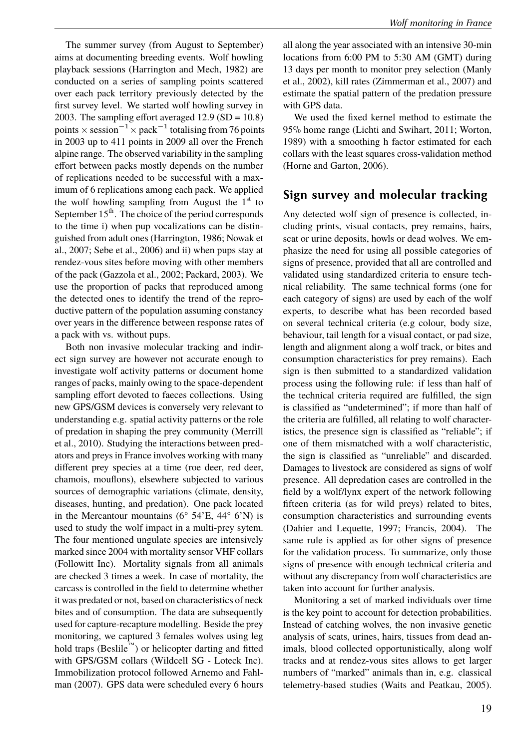The summer survey (from August to September) aims at documenting breeding events. Wolf howling playback sessions (Harrington and Mech, 1982) are conducted on a series of sampling points scattered over each pack territory previously detected by the first survey level. We started wolf howling survey in 2003. The sampling effort averaged  $12.9$  (SD =  $10.8$ ) points  $\times$  session $^{-1}\times$  pack $^{-1}$  totalising from 76 points in 2003 up to 411 points in 2009 all over the French alpine range. The observed variability in the sampling effort between packs mostly depends on the number of replications needed to be successful with a maximum of 6 replications among each pack. We applied the wolf howling sampling from August the  $1<sup>st</sup>$  to September  $15<sup>th</sup>$ . The choice of the period corresponds to the time i) when pup vocalizations can be distinguished from adult ones (Harrington, 1986; Nowak et al., 2007; Sebe et al., 2006) and ii) when pups stay at rendez-vous sites before moving with other members of the pack (Gazzola et al., 2002; Packard, 2003). We use the proportion of packs that reproduced among the detected ones to identify the trend of the reproductive pattern of the population assuming constancy over years in the difference between response rates of a pack with vs. without pups.

Both non invasive molecular tracking and indirect sign survey are however not accurate enough to investigate wolf activity patterns or document home ranges of packs, mainly owing to the space-dependent sampling effort devoted to faeces collections. Using new GPS/GSM devices is conversely very relevant to understanding e.g. spatial activity patterns or the role of predation in shaping the prey community (Merrill et al., 2010). Studying the interactions between predators and preys in France involves working with many different prey species at a time (roe deer, red deer, chamois, mouflons), elsewhere subjected to various sources of demographic variations (climate, density, diseases, hunting, and predation). One pack located in the Mercantour mountains ( $6^{\circ}$  54'E, 44 $^{\circ}$  6'N) is used to study the wolf impact in a multi-prey sytem. The four mentioned ungulate species are intensively marked since 2004 with mortality sensor VHF collars (Followitt Inc). Mortality signals from all animals are checked 3 times a week. In case of mortality, the carcass is controlled in the field to determine whether it was predated or not, based on characteristics of neck bites and of consumption. The data are subsequently used for capture-recapture modelling. Beside the prey monitoring, we captured 3 females wolves using leg hold traps (Beslile™) or helicopter darting and fitted with GPS/GSM collars (Wildcell SG - Loteck Inc). Immobilization protocol followed Arnemo and Fahlman (2007). GPS data were scheduled every 6 hours all along the year associated with an intensive 30-min locations from 6:00 PM to 5:30 AM (GMT) during 13 days per month to monitor prey selection (Manly et al., 2002), kill rates (Zimmerman et al., 2007) and estimate the spatial pattern of the predation pressure with GPS data.

We used the fixed kernel method to estimate the 95% home range (Lichti and Swihart, 2011; Worton, 1989) with a smoothing h factor estimated for each collars with the least squares cross-validation method (Horne and Garton, 2006).

### **Sign survey and molecular tracking**

Any detected wolf sign of presence is collected, including prints, visual contacts, prey remains, hairs, scat or urine deposits, howls or dead wolves. We emphasize the need for using all possible categories of signs of presence, provided that all are controlled and validated using standardized criteria to ensure technical reliability. The same technical forms (one for each category of signs) are used by each of the wolf experts, to describe what has been recorded based on several technical criteria (e.g colour, body size, behaviour, tail length for a visual contact, or pad size, length and alignment along a wolf track, or bites and consumption characteristics for prey remains). Each sign is then submitted to a standardized validation process using the following rule: if less than half of the technical criteria required are fulfilled, the sign is classified as "undetermined"; if more than half of the criteria are fulfilled, all relating to wolf characteristics, the presence sign is classified as "reliable"; if one of them mismatched with a wolf characteristic, the sign is classified as "unreliable" and discarded. Damages to livestock are considered as signs of wolf presence. All depredation cases are controlled in the field by a wolf/lynx expert of the network following fifteen criteria (as for wild preys) related to bites, consumption characteristics and surrounding events (Dahier and Lequette, 1997; Francis, 2004). The same rule is applied as for other signs of presence for the validation process. To summarize, only those signs of presence with enough technical criteria and without any discrepancy from wolf characteristics are taken into account for further analysis.

Monitoring a set of marked individuals over time is the key point to account for detection probabilities. Instead of catching wolves, the non invasive genetic analysis of scats, urines, hairs, tissues from dead animals, blood collected opportunistically, along wolf tracks and at rendez-vous sites allows to get larger numbers of "marked" animals than in, e.g. classical telemetry-based studies (Waits and Peatkau, 2005).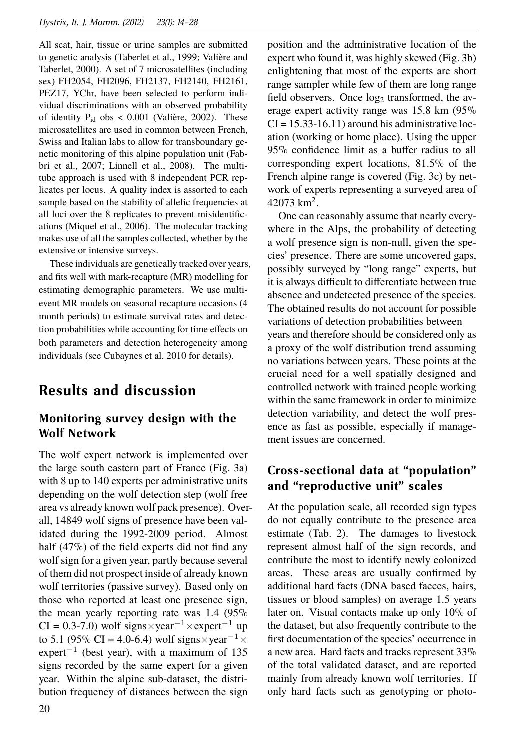All scat, hair, tissue or urine samples are submitted to genetic analysis (Taberlet et al., 1999; Valière and Taberlet, 2000). A set of 7 microsatellites (including sex) FH2054, FH2096, FH2137, FH2140, FH2161, PEZ17, YChr, have been selected to perform individual discriminations with an observed probability of identity  $P_{id}$  obs < 0.001 (Valière, 2002). These microsatellites are used in common between French, Swiss and Italian labs to allow for transboundary genetic monitoring of this alpine population unit (Fabbri et al., 2007; Linnell et al., 2008). The multitube approach is used with 8 independent PCR replicates per locus. A quality index is assorted to each sample based on the stability of allelic frequencies at all loci over the 8 replicates to prevent misidentifications (Miquel et al., 2006). The molecular tracking makes use of all the samples collected, whether by the extensive or intensive surveys.

These individuals are genetically tracked over years, and fits well with mark-recapture (MR) modelling for estimating demographic parameters. We use multievent MR models on seasonal recapture occasions (4 month periods) to estimate survival rates and detection probabilities while accounting for time effects on both parameters and detection heterogeneity among individuals (see Cubaynes et al. 2010 for details).

# **Results and discussion**

## **Monitoring survey design with the Wolf Network**

The wolf expert network is implemented over the large south eastern part of France (Fig. 3a) with 8 up to 140 experts per administrative units depending on the wolf detection step (wolf free area vs already known wolf pack presence). Overall, 14849 wolf signs of presence have been validated during the 1992-2009 period. Almost half (47%) of the field experts did not find any wolf sign for a given year, partly because several of them did not prospect inside of already known wolf territories (passive survey). Based only on those who reported at least one presence sign, the mean yearly reporting rate was 1.4 (95%  $CI = 0.3-7.0$ ) wolf signs×year<sup>-1</sup>×expert<sup>-1</sup> up to 5.1 (95% CI = 4.0-6.4) wolf signs×year<sup>-1</sup> ×  $expert^{-1}$  (best year), with a maximum of 135 signs recorded by the same expert for a given year. Within the alpine sub-dataset, the distribution frequency of distances between the sign

position and the administrative location of the expert who found it, was highly skewed (Fig. 3b) enlightening that most of the experts are short range sampler while few of them are long range field observers. Once  $log<sub>2</sub>$  transformed, the average expert activity range was 15.8 km (95%  $CI = 15.33 - 16.11$  around his administrative location (working or home place). Using the upper 95% confidence limit as a buffer radius to all corresponding expert locations, 81.5% of the French alpine range is covered (Fig. 3c) by network of experts representing a surveyed area of  $42073$  km<sup>2</sup>.

One can reasonably assume that nearly everywhere in the Alps, the probability of detecting a wolf presence sign is non-null, given the species' presence. There are some uncovered gaps, possibly surveyed by "long range" experts, but it is always difficult to differentiate between true absence and undetected presence of the species. The obtained results do not account for possible variations of detection probabilities between years and therefore should be considered only as a proxy of the wolf distribution trend assuming no variations between years. These points at the crucial need for a well spatially designed and controlled network with trained people working within the same framework in order to minimize detection variability, and detect the wolf presence as fast as possible, especially if management issues are concerned.

## **Cross-sectional data at "population" and "reproductive unit" scales**

At the population scale, all recorded sign types do not equally contribute to the presence area estimate (Tab. 2). The damages to livestock represent almost half of the sign records, and contribute the most to identify newly colonized areas. These areas are usually confirmed by additional hard facts (DNA based faeces, hairs, tissues or blood samples) on average 1.5 years later on. Visual contacts make up only 10% of the dataset, but also frequently contribute to the first documentation of the species' occurrence in a new area. Hard facts and tracks represent 33% of the total validated dataset, and are reported mainly from already known wolf territories. If only hard facts such as genotyping or photo-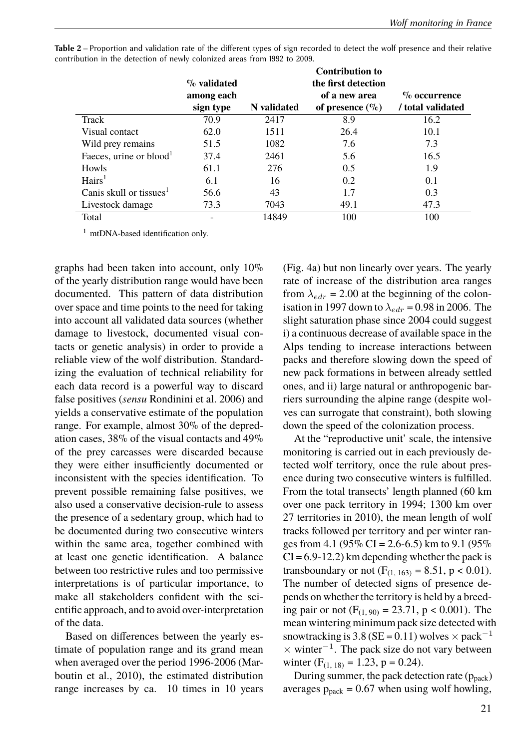|                                     | $\%$ validated<br>among each |             | <b>Contribution to</b><br>the first detection<br>of a new area | $\%$ occurrence   |
|-------------------------------------|------------------------------|-------------|----------------------------------------------------------------|-------------------|
|                                     | sign type                    | N validated | of presence $(\%)$                                             | / total validated |
| Track                               | 70.9                         | 2417        | 8.9                                                            | 16.2              |
| Visual contact                      | 62.0                         | 1511        | 26.4                                                           | 10.1              |
| Wild prey remains                   | 51.5                         | 1082        | 7.6                                                            | 7.3               |
| Faeces, urine or blood <sup>1</sup> | 37.4                         | 2461        | 5.6                                                            | 16.5              |
| Howls                               | 61.1                         | 276         | 0.5                                                            | 1.9               |
| Hairs <sup>1</sup>                  | 6.1                          | 16          | 0.2                                                            | 0.1               |
| Canis skull or tissues <sup>1</sup> | 56.6                         | 43          | 1.7                                                            | 0.3               |
| Livestock damage                    | 73.3                         | 7043        | 49.1                                                           | 47.3              |
| Total                               |                              | 14849       | 100                                                            | 100               |

Table 2 – Proportion and validation rate of the different types of sign recorded to detect the wolf presence and their relative contribution in the detection of newly colonized areas from 1992 to 2009.

<sup>1</sup> mtDNA-based identification only.

graphs had been taken into account, only 10% of the yearly distribution range would have been documented. This pattern of data distribution over space and time points to the need for taking into account all validated data sources (whether damage to livestock, documented visual contacts or genetic analysis) in order to provide a reliable view of the wolf distribution. Standardizing the evaluation of technical reliability for each data record is a powerful way to discard false positives (*sensu* Rondinini et al. 2006) and yields a conservative estimate of the population range. For example, almost 30% of the depredation cases, 38% of the visual contacts and 49% of the prey carcasses were discarded because they were either insufficiently documented or inconsistent with the species identification. To prevent possible remaining false positives, we also used a conservative decision-rule to assess the presence of a sedentary group, which had to be documented during two consecutive winters within the same area, together combined with at least one genetic identification. A balance between too restrictive rules and too permissive interpretations is of particular importance, to make all stakeholders confident with the scientific approach, and to avoid over-interpretation of the data.

Based on differences between the yearly estimate of population range and its grand mean when averaged over the period 1996-2006 (Marboutin et al., 2010), the estimated distribution range increases by ca. 10 times in 10 years

(Fig. 4a) but non linearly over years. The yearly rate of increase of the distribution area ranges from  $\lambda_{edr}$  = 2.00 at the beginning of the colonisation in 1997 down to  $\lambda_{edr}$  = 0.98 in 2006. The slight saturation phase since 2004 could suggest i) a continuous decrease of available space in the Alps tending to increase interactions between packs and therefore slowing down the speed of new pack formations in between already settled ones, and ii) large natural or anthropogenic barriers surrounding the alpine range (despite wolves can surrogate that constraint), both slowing down the speed of the colonization process.

At the "reproductive unit' scale, the intensive monitoring is carried out in each previously detected wolf territory, once the rule about presence during two consecutive winters is fulfilled. From the total transects' length planned (60 km over one pack territory in 1994; 1300 km over 27 territories in 2010), the mean length of wolf tracks followed per territory and per winter ranges from 4.1 (95% CI = 2.6-6.5) km to 9.1 (95%  $CI = 6.9 - 12.2$ ) km depending whether the pack is transboundary or not  $(F_{(1, 163)} = 8.51, p < 0.01)$ . The number of detected signs of presence depends on whether the territory is held by a breeding pair or not  $(F_{(1, 90)} = 23.71, p < 0.001)$ . The mean wintering minimum pack size detected with snowtracking is 3.8 (SE = 0.11) wolves  $\times$  pack<sup>-1</sup> × winter<sup>−</sup><sup>1</sup> . The pack size do not vary between winter  $(F_{(1, 18)} = 1.23, p = 0.24)$ .

During summer, the pack detection rate ( $p_{pack}$ ) averages  $p_{pack} = 0.67$  when using wolf howling,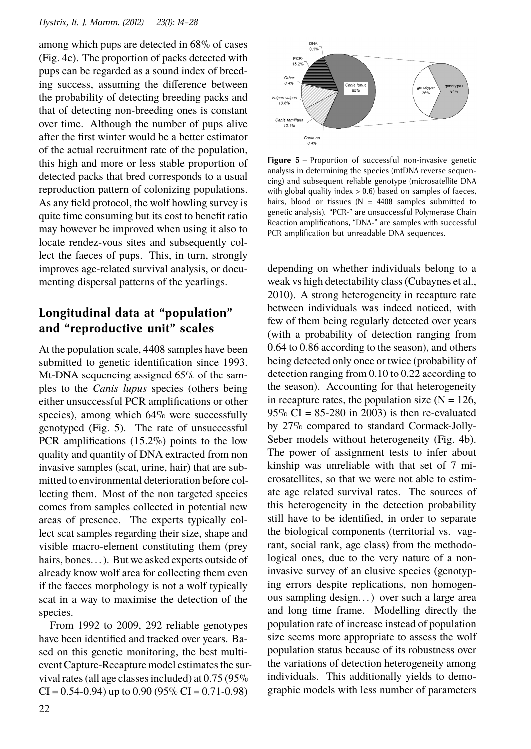among which pups are detected in 68% of cases (Fig. 4c). The proportion of packs detected with pups can be regarded as a sound index of breeding success, assuming the difference between the probability of detecting breeding packs and that of detecting non-breeding ones is constant over time. Although the number of pups alive after the first winter would be a better estimator of the actual recruitment rate of the population, this high and more or less stable proportion of detected packs that bred corresponds to a usual reproduction pattern of colonizing populations. As any field protocol, the wolf howling survey is quite time consuming but its cost to benefit ratio may however be improved when using it also to locate rendez-vous sites and subsequently collect the faeces of pups. This, in turn, strongly improves age-related survival analysis, or documenting dispersal patterns of the yearlings.

### **Longitudinal data at "population" and "reproductive unit" scales**

At the population scale, 4408 samples have been submitted to genetic identification since 1993. Mt-DNA sequencing assigned 65% of the samples to the *Canis lupus* species (others being either unsuccessful PCR amplifications or other species), among which 64% were successfully genotyped (Fig. 5). The rate of unsuccessful PCR amplifications (15.2%) points to the low quality and quantity of DNA extracted from non invasive samples (scat, urine, hair) that are submitted to environmental deterioration before collecting them. Most of the non targeted species comes from samples collected in potential new areas of presence. The experts typically collect scat samples regarding their size, shape and visible macro-element constituting them (prey hairs, bones...). But we asked experts outside of already know wolf area for collecting them even if the faeces morphology is not a wolf typically scat in a way to maximise the detection of the species.

From 1992 to 2009, 292 reliable genotypes have been identified and tracked over years. Based on this genetic monitoring, the best multievent Capture-Recapture model estimates the survival rates (all age classes included) at 0.75 (95%  $CI = 0.54 - 0.94$ ) up to 0.90 (95%  $CI = 0.71 - 0.98$ )



**Figure 5** – Proportion of successful non-invasive genetic analysis in determining the species (mtDNA reverse sequencing) and subsequent reliable genotype (microsatellite DNA with global quality index  $> 0.6$ ) based on samples of faeces, hairs, blood or tissues ( $N = 4408$  samples submitted to genetic analysis). "PCR-" are unsuccessful Polymerase Chain Reaction amplifications, "DNA-" are samples with successful PCR amplification but unreadable DNA sequences.

depending on whether individuals belong to a weak vs high detectability class (Cubaynes et al., 2010). A strong heterogeneity in recapture rate between individuals was indeed noticed, with few of them being regularly detected over years (with a probability of detection ranging from 0.64 to 0.86 according to the season), and others being detected only once or twice (probability of detection ranging from 0.10 to 0.22 according to the season). Accounting for that heterogeneity in recapture rates, the population size  $(N = 126)$ ,  $95\%$  CI = 85-280 in 2003) is then re-evaluated by 27% compared to standard Cormack-Jolly-Seber models without heterogeneity (Fig. 4b). The power of assignment tests to infer about kinship was unreliable with that set of 7 microsatellites, so that we were not able to estimate age related survival rates. The sources of this heterogeneity in the detection probability still have to be identified, in order to separate the biological components (territorial vs. vagrant, social rank, age class) from the methodological ones, due to the very nature of a noninvasive survey of an elusive species (genotyping errors despite replications, non homogenous sampling design. . . ) over such a large area and long time frame. Modelling directly the population rate of increase instead of population size seems more appropriate to assess the wolf population status because of its robustness over the variations of detection heterogeneity among individuals. This additionally yields to demographic models with less number of parameters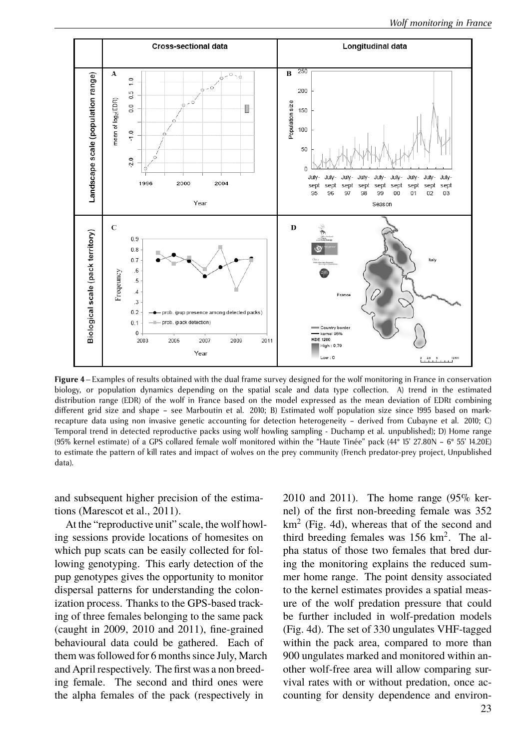

**Figure 4** – Examples of results obtained with the dual frame survey designed for the wolf monitoring in France in conservation biology, or population dynamics depending on the spatial scale and data type collection. A) trend in the estimated distribution range (EDR) of the wolf in France based on the model expressed as the mean deviation of EDRt combining different grid size and shape - see Marboutin et al. 2010; B) Estimated wolf population size since 1995 based on markrecapture data using non invasive genetic accounting for detection heterogeneity – derived from Cubayne et al. 2010; C) Temporal trend in detected reproductive packs using wolf howling sampling - Duchamp et al. unpublished); D) Home range (95% kernel estimate) of a GPS collared female wolf monitored within the "Haute Tinée" pack (44° 15' 27.80N – 6° 55' 14.20E) to estimate the pattern of kill rates and impact of wolves on the prey community (French predator-prey project, Unpublished data).

and subsequent higher precision of the estimations (Marescot et al., 2011).

At the "reproductive unit" scale, the wolf howling sessions provide locations of homesites on which pup scats can be easily collected for following genotyping. This early detection of the pup genotypes gives the opportunity to monitor dispersal patterns for understanding the colonization process. Thanks to the GPS-based tracking of three females belonging to the same pack (caught in 2009, 2010 and 2011), fine-grained behavioural data could be gathered. Each of them was followed for 6 months since July, March and April respectively. The first was a non breeding female. The second and third ones were the alpha females of the pack (respectively in

2010 and 2011). The home range (95% kernel) of the first non-breeding female was 352  $km<sup>2</sup>$  (Fig. 4d), whereas that of the second and third breeding females was  $156 \text{ km}^2$ . The alpha status of those two females that bred during the monitoring explains the reduced summer home range. The point density associated to the kernel estimates provides a spatial measure of the wolf predation pressure that could be further included in wolf-predation models (Fig. 4d). The set of 330 ungulates VHF-tagged within the pack area, compared to more than 900 ungulates marked and monitored within another wolf-free area will allow comparing survival rates with or without predation, once accounting for density dependence and environ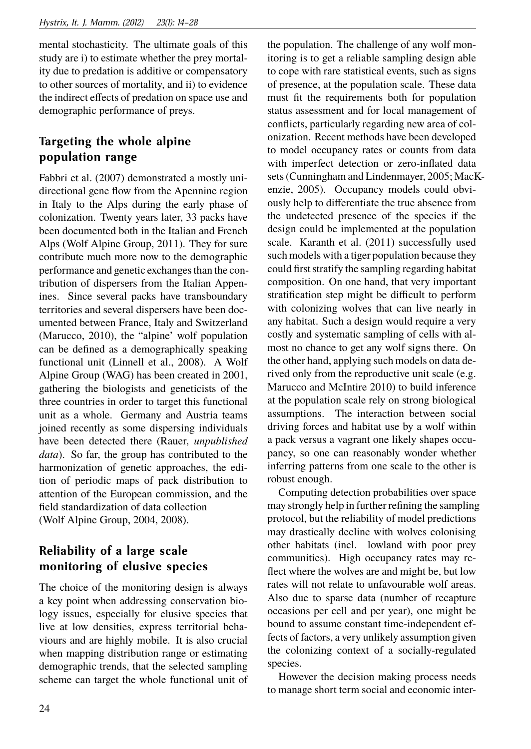mental stochasticity. The ultimate goals of this study are i) to estimate whether the prey mortality due to predation is additive or compensatory to other sources of mortality, and ii) to evidence the indirect effects of predation on space use and demographic performance of preys.

## **Targeting the whole alpine population range**

Fabbri et al. (2007) demonstrated a mostly unidirectional gene flow from the Apennine region in Italy to the Alps during the early phase of colonization. Twenty years later, 33 packs have been documented both in the Italian and French Alps (Wolf Alpine Group, 2011). They for sure contribute much more now to the demographic performance and genetic exchanges than the contribution of dispersers from the Italian Appenines. Since several packs have transboundary territories and several dispersers have been documented between France, Italy and Switzerland (Marucco, 2010), the "alpine' wolf population can be defined as a demographically speaking functional unit (Linnell et al., 2008). A Wolf Alpine Group (WAG) has been created in 2001, gathering the biologists and geneticists of the three countries in order to target this functional unit as a whole. Germany and Austria teams joined recently as some dispersing individuals have been detected there (Rauer, *unpublished data*). So far, the group has contributed to the harmonization of genetic approaches, the edition of periodic maps of pack distribution to attention of the European commission, and the field standardization of data collection (Wolf Alpine Group, 2004, 2008).

## **Reliability of a large scale monitoring of elusive species**

The choice of the monitoring design is always a key point when addressing conservation biology issues, especially for elusive species that live at low densities, express territorial behaviours and are highly mobile. It is also crucial when mapping distribution range or estimating demographic trends, that the selected sampling scheme can target the whole functional unit of the population. The challenge of any wolf monitoring is to get a reliable sampling design able to cope with rare statistical events, such as signs of presence, at the population scale. These data must fit the requirements both for population status assessment and for local management of conflicts, particularly regarding new area of colonization. Recent methods have been developed to model occupancy rates or counts from data with imperfect detection or zero-inflated data sets (Cunningham and Lindenmayer, 2005; MacKenzie, 2005). Occupancy models could obviously help to differentiate the true absence from the undetected presence of the species if the design could be implemented at the population scale. Karanth et al. (2011) successfully used such models with a tiger population because they could first stratify the sampling regarding habitat composition. On one hand, that very important stratification step might be difficult to perform with colonizing wolves that can live nearly in any habitat. Such a design would require a very costly and systematic sampling of cells with almost no chance to get any wolf signs there. On the other hand, applying such models on data derived only from the reproductive unit scale (e.g. Marucco and McIntire 2010) to build inference at the population scale rely on strong biological assumptions. The interaction between social driving forces and habitat use by a wolf within a pack versus a vagrant one likely shapes occupancy, so one can reasonably wonder whether inferring patterns from one scale to the other is robust enough.

Computing detection probabilities over space may strongly help in further refining the sampling protocol, but the reliability of model predictions may drastically decline with wolves colonising other habitats (incl. lowland with poor prey communities). High occupancy rates may reflect where the wolves are and might be, but low rates will not relate to unfavourable wolf areas. Also due to sparse data (number of recapture occasions per cell and per year), one might be bound to assume constant time-independent effects of factors, a very unlikely assumption given the colonizing context of a socially-regulated species.

However the decision making process needs to manage short term social and economic inter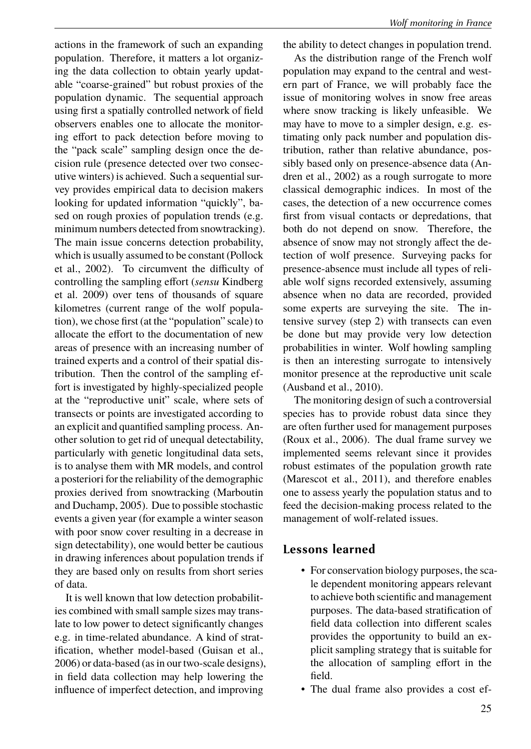actions in the framework of such an expanding population. Therefore, it matters a lot organizing the data collection to obtain yearly updatable "coarse-grained" but robust proxies of the population dynamic. The sequential approach using first a spatially controlled network of field observers enables one to allocate the monitoring effort to pack detection before moving to the "pack scale" sampling design once the decision rule (presence detected over two consecutive winters) is achieved. Such a sequential survey provides empirical data to decision makers looking for updated information "quickly", based on rough proxies of population trends (e.g. minimum numbers detected from snowtracking). The main issue concerns detection probability, which is usually assumed to be constant (Pollock et al., 2002). To circumvent the difficulty of controlling the sampling effort (*sensu* Kindberg et al. 2009) over tens of thousands of square kilometres (current range of the wolf population), we chose first (at the "population" scale) to allocate the effort to the documentation of new areas of presence with an increasing number of trained experts and a control of their spatial distribution. Then the control of the sampling effort is investigated by highly-specialized people at the "reproductive unit" scale, where sets of transects or points are investigated according to an explicit and quantified sampling process. Another solution to get rid of unequal detectability, particularly with genetic longitudinal data sets, is to analyse them with MR models, and control a posteriori for the reliability of the demographic proxies derived from snowtracking (Marboutin and Duchamp, 2005). Due to possible stochastic events a given year (for example a winter season with poor snow cover resulting in a decrease in sign detectability), one would better be cautious in drawing inferences about population trends if they are based only on results from short series of data.

It is well known that low detection probabilities combined with small sample sizes may translate to low power to detect significantly changes e.g. in time-related abundance. A kind of stratification, whether model-based (Guisan et al., 2006) or data-based (as in our two-scale designs), in field data collection may help lowering the influence of imperfect detection, and improving

the ability to detect changes in population trend.

As the distribution range of the French wolf population may expand to the central and western part of France, we will probably face the issue of monitoring wolves in snow free areas where snow tracking is likely unfeasible. We may have to move to a simpler design, e.g. estimating only pack number and population distribution, rather than relative abundance, possibly based only on presence-absence data (Andren et al., 2002) as a rough surrogate to more classical demographic indices. In most of the cases, the detection of a new occurrence comes first from visual contacts or depredations, that both do not depend on snow. Therefore, the absence of snow may not strongly affect the detection of wolf presence. Surveying packs for presence-absence must include all types of reliable wolf signs recorded extensively, assuming absence when no data are recorded, provided some experts are surveying the site. The intensive survey (step 2) with transects can even be done but may provide very low detection probabilities in winter. Wolf howling sampling is then an interesting surrogate to intensively monitor presence at the reproductive unit scale (Ausband et al., 2010).

The monitoring design of such a controversial species has to provide robust data since they are often further used for management purposes (Roux et al., 2006). The dual frame survey we implemented seems relevant since it provides robust estimates of the population growth rate (Marescot et al., 2011), and therefore enables one to assess yearly the population status and to feed the decision-making process related to the management of wolf-related issues.

### **Lessons learned**

- For conservation biology purposes, the scale dependent monitoring appears relevant to achieve both scientific and management purposes. The data-based stratification of field data collection into different scales provides the opportunity to build an explicit sampling strategy that is suitable for the allocation of sampling effort in the field.
- The dual frame also provides a cost ef-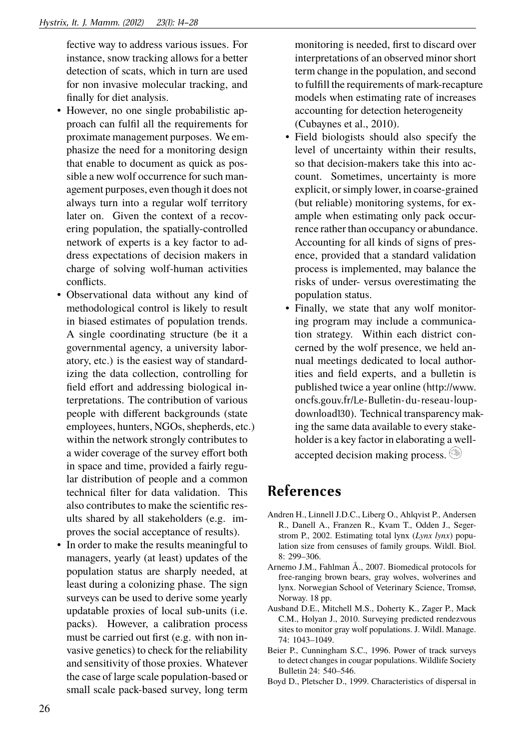fective way to address various issues. For instance, snow tracking allows for a better detection of scats, which in turn are used for non invasive molecular tracking, and finally for diet analysis.

- However, no one single probabilistic approach can fulfil all the requirements for proximate management purposes. We emphasize the need for a monitoring design that enable to document as quick as possible a new wolf occurrence for such management purposes, even though it does not always turn into a regular wolf territory later on. Given the context of a recovering population, the spatially-controlled network of experts is a key factor to address expectations of decision makers in charge of solving wolf-human activities conflicts.
- Observational data without any kind of methodological control is likely to result in biased estimates of population trends. A single coordinating structure (be it a governmental agency, a university laboratory, etc.) is the easiest way of standardizing the data collection, controlling for field effort and addressing biological interpretations. The contribution of various people with different backgrounds (state employees, hunters, NGOs, shepherds, etc.) within the network strongly contributes to a wider coverage of the survey effort both in space and time, provided a fairly regular distribution of people and a common technical filter for data validation. This also contributes to make the scientific results shared by all stakeholders (e.g. improves the social acceptance of results).
- In order to make the results meaningful to managers, yearly (at least) updates of the population status are sharply needed, at least during a colonizing phase. The sign surveys can be used to derive some yearly updatable proxies of local sub-units (i.e. packs). However, a calibration process must be carried out first (e.g. with non invasive genetics) to check for the reliability and sensitivity of those proxies. Whatever the case of large scale population-based or small scale pack-based survey, long term

monitoring is needed, first to discard over interpretations of an observed minor short term change in the population, and second to fulfill the requirements of mark-recapture models when estimating rate of increases accounting for detection heterogeneity (Cubaynes et al., 2010).

- Field biologists should also specify the level of uncertainty within their results, so that decision-makers take this into account. Sometimes, uncertainty is more explicit, or simply lower, in coarse-grained (but reliable) monitoring systems, for example when estimating only pack occurrence rather than occupancy or abundance. Accounting for all kinds of signs of presence, provided that a standard validation process is implemented, may balance the risks of under- versus overestimating the population status.
- Finally, we state that any wolf monitoring program may include a communication strategy. Within each district concerned by the wolf presence, we held annual meetings dedicated to local authorities and field experts, and a bulletin is published twice a year online (http://www. oncfs.gouv.fr/Le-Bulletin-du-reseau-loupdownload130). Technical transparency making the same data available to every stakeholder is a key factor in elaborating a wellaccepted decision making process.

## **References**

- Andren H., Linnell J.D.C., Liberg O., Ahlqvist P., Andersen R., Danell A., Franzen R., Kvam T., Odden J., Segerstrom P., 2002. Estimating total lynx (*Lynx lynx*) population size from censuses of family groups. Wildl. Biol. 8: 299–306.
- Arnemo J.M., Fahlman Å., 2007. Biomedical protocols for free-ranging brown bears, gray wolves, wolverines and lynx. Norwegian School of Veterinary Science, Tromsø, Norway. 18 pp.
- Ausband D.E., Mitchell M.S., Doherty K., Zager P., Mack C.M., Holyan J., 2010. Surveying predicted rendezvous sites to monitor gray wolf populations. J. Wildl. Manage. 74: 1043–1049.
- Beier P., Cunningham S.C., 1996. Power of track surveys to detect changes in cougar populations. Wildlife Society Bulletin 24: 540–546.
- Boyd D., Pletscher D., 1999. Characteristics of dispersal in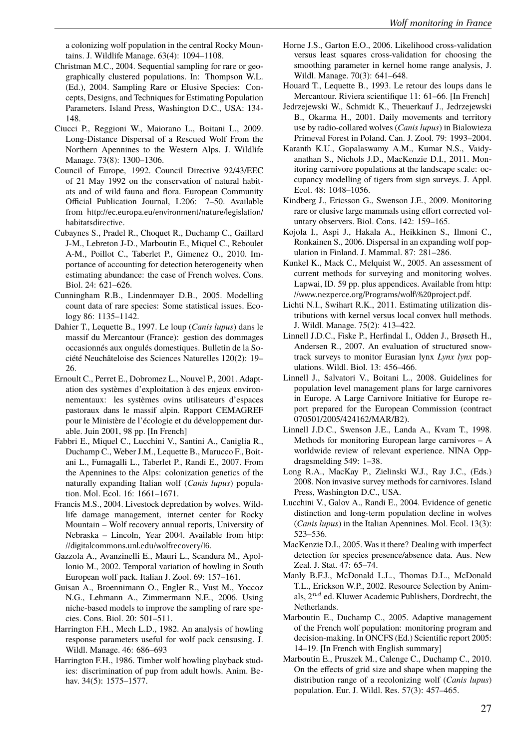a colonizing wolf population in the central Rocky Mountains. J. Wildlife Manage. 63(4): 1094–1108.

- Christman M.C., 2004. Sequential sampling for rare or geographically clustered populations. In: Thompson W.L. (Ed.), 2004. Sampling Rare or Elusive Species: Concepts, Designs, and Techniques for Estimating Population Parameters. Island Press, Washington D.C., USA: 134- 148.
- Ciucci P., Reggioni W., Maiorano L., Boitani L., 2009. Long-Distance Dispersal of a Rescued Wolf From the Northern Apennines to the Western Alps. J. Wildlife Manage. 73(8): 1300–1306.
- Council of Europe, 1992. Council Directive 92/43/EEC of 21 May 1992 on the conservation of natural habitats and of wild fauna and flora. European Community Official Publication Journal, L206: 7–50. Available from http://ec.europa.eu/environment/nature/legislation/ habitatsdirective.
- Cubaynes S., Pradel R., Choquet R., Duchamp C., Gaillard J-M., Lebreton J-D., Marboutin E., Miquel C., Reboulet A-M., Poillot C., Taberlet P., Gimenez O., 2010. Importance of accounting for detection heterogeneity when estimating abundance: the case of French wolves. Cons. Biol. 24: 621–626.
- Cunningham R.B., Lindenmayer D.B., 2005. Modelling count data of rare species: Some statistical issues. Ecology 86: 1135–1142.
- Dahier T., Lequette B., 1997. Le loup (*Canis lupus*) dans le massif du Mercantour (France): gestion des dommages occasionnés aux ongulés domestiques. Bulletin de la Société Neuchâteloise des Sciences Naturelles 120(2): 19– 26.
- Ernoult C., Perret E., Dobromez L., Nouvel P., 2001. Adaptation des systèmes d'exploitation à des enjeux environnementaux: les systèmes ovins utilisateurs d'espaces pastoraux dans le massif alpin. Rapport CEMAGREF pour le Ministère de l'écologie et du développement durable. Juin 2001, 98 pp. [In French]
- Fabbri E., Miquel C., Lucchini V., Santini A., Caniglia R., Duchamp C., Weber J.M., Lequette B., Marucco F., Boitani L., Fumagalli L., Taberlet P., Randi E., 2007. From the Apennines to the Alps: colonization genetics of the naturally expanding Italian wolf (*Canis lupus*) population. Mol. Ecol. 16: 1661–1671.
- Francis M.S., 2004. Livestock depredation by wolves. Wildlife damage management, internet center for Rocky Mountain – Wolf recovery annual reports, University of Nebraska – Lincoln, Year 2004. Available from http: //digitalcommons.unl.edu/wolfrecovery/16.
- Gazzola A., Avanzinelli E., Mauri L., Scandura M., Apollonio M., 2002. Temporal variation of howling in South European wolf pack. Italian J. Zool. 69: 157–161.
- Guisan A., Broennimann O., Engler R., Vust M., Yoccoz N.G., Lehmann A., Zimmermann N.E., 2006. Using niche-based models to improve the sampling of rare species. Cons. Biol. 20: 501–511.
- Harrington F.H., Mech L.D., 1982. An analysis of howling response parameters useful for wolf pack censusing. J. Wildl. Manage. 46: 686–693
- Harrington F.H., 1986. Timber wolf howling playback studies: discrimination of pup from adult howls. Anim. Behav. 34(5): 1575-1577.
- Horne J.S., Garton E.O., 2006. Likelihood cross-validation versus least squares cross-validation for choosing the smoothing parameter in kernel home range analysis, J. Wildl. Manage. 70(3): 641–648.
- Houard T., Lequette B., 1993. Le retour des loups dans le Mercantour. Riviera scientifique 11: 61–66. [In French]
- Jedrzejewski W., Schmidt K., Theuerkauf J., Jedrzejewski B., Okarma H., 2001. Daily movements and territory use by radio-collared wolves (*Canis lupus*) in Bialowieza Primeval Forest in Poland. Can. J. Zool. 79: 1993–2004.
- Karanth K.U., Gopalaswamy A.M., Kumar N.S., Vaidyanathan S., Nichols J.D., MacKenzie D.I., 2011. Monitoring carnivore populations at the landscape scale: occupancy modelling of tigers from sign surveys. J. Appl. Ecol. 48: 1048–1056.
- Kindberg J., Ericsson G., Swenson J.E., 2009. Monitoring rare or elusive large mammals using effort corrected voluntary observers. Biol. Cons. 142: 159–165.
- Kojola I., Aspi J., Hakala A., Heikkinen S., Ilmoni C., Ronkainen S., 2006. Dispersal in an expanding wolf population in Finland. J. Mammal. 87: 281–286.
- Kunkel K., Mack C., Melquist W., 2005. An assessment of current methods for surveying and monitoring wolves. Lapwai, ID. 59 pp. plus appendices. Available from http: //www.nezperce.org/Programs/wolf\%20project.pdf.
- Lichti N.I., Swihart R.K., 2011. Estimating utilization distributions with kernel versus local convex hull methods. J. Wildl. Manage. 75(2): 413–422.
- Linnell J.D.C., Fiske P., Herfindal I., Odden J., Brøseth H., Andersen R., 2007. An evaluation of structured snowtrack surveys to monitor Eurasian lynx *Lynx lynx* populations. Wildl. Biol. 13: 456–466.
- Linnell J., Salvatori V., Boitani L., 2008. Guidelines for population level management plans for large carnivores in Europe. A Large Carnivore Initiative for Europe report prepared for the European Commission (contract 070501/2005/424162/MAR/B2).
- Linnell J.D.C., Swenson J.E., Landa A., Kvam T., 1998. Methods for monitoring European large carnivores – A worldwide review of relevant experience. NINA Oppdragsmelding 549: 1–38.
- Long R.A., MacKay P., Zielinski W.J., Ray J.C., (Eds.) 2008. Non invasive survey methods for carnivores. Island Press, Washington D.C., USA.
- Lucchini V., Galov A., Randi E., 2004. Evidence of genetic distinction and long-term population decline in wolves (*Canis lupus*) in the Italian Apennines. Mol. Ecol. 13(3): 523–536.
- MacKenzie D.I., 2005. Was it there? Dealing with imperfect detection for species presence/absence data. Aus. New Zeal. J. Stat. 47: 65–74.
- Manly B.F.J., McDonald L.L., Thomas D.L., McDonald T.L., Erickson W.P., 2002. Resource Selection by Animals, 2*nd* ed. Kluwer Academic Publishers, Dordrecht, the Netherlands.
- Marboutin E., Duchamp C., 2005. Adaptive management of the French wolf population: monitoring program and decision-making. In ONCFS (Ed.) Scientific report 2005: 14–19. [In French with English summary]
- Marboutin E., Pruszek M., Calenge C., Duchamp C., 2010. On the effects of grid size and shape when mapping the distribution range of a recolonizing wolf (*Canis lupus*) population. Eur. J. Wildl. Res. 57(3): 457–465.